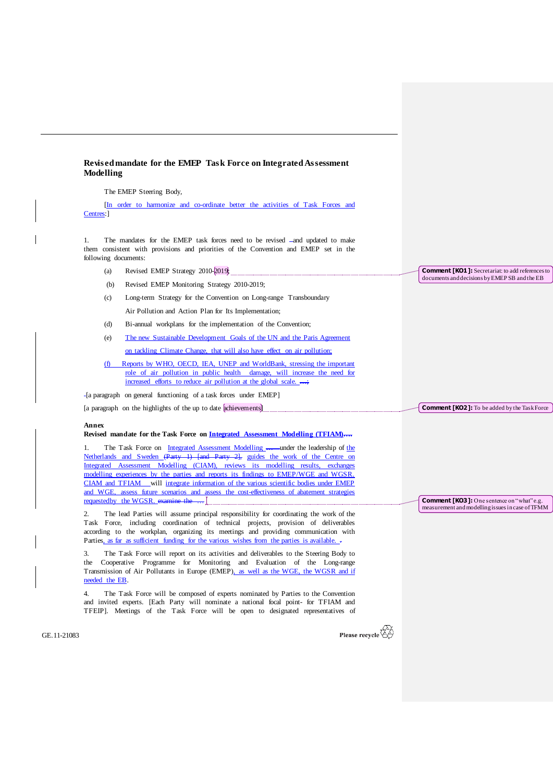## **Revised mandate for the EMEP Task Force on Integrated Assessment Modelling**

The EMEP Steering Body,

[In order to harmonize and co-ordinate better the activities of Task Forces and Centres:]

1. The mandates for the EMEP task forces need to be revised -and updated to make them consistent with provisions and priorities of the Convention and EMEP set in the following documents:

- (a) Revised EMEP Strategy 2010-2019;
- (b) Revised EMEP Monitoring Strategy 2010-2019;
- (c) Long-term Strategy for the Convention on Long-range Transboundary Air Pollution and Action Plan for Its Implementation;
- (d) Bi-annual workplans for the implementation of the Convention;
- (e) The new Sustainable Development Goals of the UN and the Paris Agreement on tackling Climate Change, that will also have effect on air pollution;
- (f) Reports by WHO, OECD, IEA, UNEP and WorldBank, stressing the important role of air pollution in public health damage, will increase the need for increased efforts to reduce air pollution at the global scale. ...;
- [a paragraph on general functioning of a task forces under EMEP]

[a paragraph on the highlights of the up to date achievements]

## **Annex**

## **Revised mandate for the Task Force on Integrated Assessment Modelling (TFIAM)….**

The Task Force on Integrated Assessment Modelling ... under the leadership of the Netherlands and Sweden (Party 1) [and Party 2], guides the work of the Centre on Integrated Assessment Modelling (CIAM), reviews its modelling results, exchanges modelling experiences by the parties and reports its findings to EMEP/WGE and WGSR. CIAM and TFIAM will integrate information of the various scientific bodies under EMEP and WGE, assess future scenarios and assess the cost-effectiveness of abatement strategies requestedby the WGSR. examine the

2. The lead Parties will assume principal responsibility for coordinating the work of the Task Force, including coordination of technical projects, provision of deliverables according to the workplan, organizing its meetings and providing communication with Parties, as far as sufficient funding for the various wishes from the parties is available.

3. The Task Force will report on its activities and deliverables to the Steering Body to the Cooperative Programme for Monitoring and Evaluation of the Long-range Transmission of Air Pollutants in Europe (EMEP), as well as the WGE, the WGSR and if needed the EB.

4. The Task Force will be composed of experts nominated by Parties to the Convention and invited experts. [Each Party will nominate a national focal point- for TFIAM and TFEIP]. Meetings of the Task Force will be open to designated representatives of

**Comment [KO2]:** To be added by the Task Force

**Comment [KO1]:** Secretariat: to add references to documents and decisions by EMEP SB and the EB

**Comment [KO3]:** One sentence on "what"e.g. measurement and modelling issues in case of TFMM

GE.11-21083